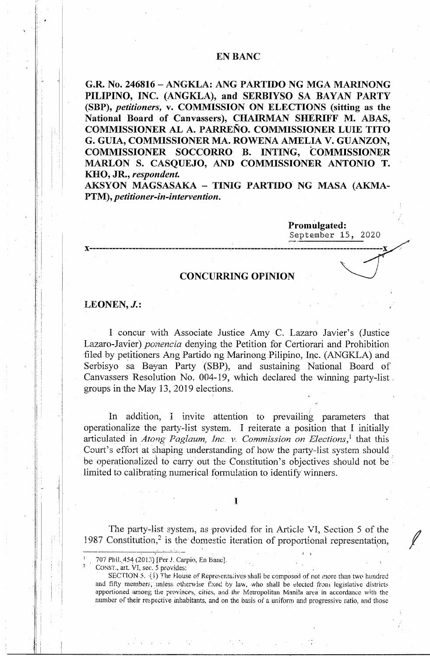## **EN BANC**

**G.R. No. 246816 - ANGKLA: ANG PARTIDO NG MGA MARINONG PILIPINO, INC. (ANGKLA), and SERBIYSO SA BAYAN PARTY (SBP),** *petitioners,* **v. COMMISSION ON ELECTIONS (sitting as the National Board of Canvassers), CHAIRMAN SHERIFF M. ABAS, COMMISSIONER AL A. PARRENO. COMMISSIONER LUIE TITO G. GUIA, COMMISSIONER MA. ROWENA AMELIA V. GUANZON, COMMISSIONER SOCCORRO B. INTING, COMMISSIONER MARLON S. CASQUEJO, AND COMMISSIONER ANTONIO T. KHO, JR.,** *respondent.* 

AKSYON MAGSASAKA - TINIG PARTIDO NG MASA (AKMA-**PTM),** *petitioner-in-intervention.* 

> **Promulgated:**  September 15, 2020

### **CONCURRING OPINION**

**x------------------------------------------** ------------- **--------------------------------x** 

### LEONEN, *J.*:

I concur vvith Associate Justice Amy C. Lazaro Javier's (Justice Lazaro-Javier) *ponencia* denying the Petition for Certiorari and Prohibition -filed by petitioners Ang Partido ng Marinong Filipino, Inc. (ANGKLA) and Serbisyo sa Bayan Party (SBP), and sustaining National Board of Canvassers Resolution No. 004-19, which declared the winning party-list, groups in the May 13, 2019 elections.

In addition, I invite attention to prevailing parameters that operationalize the party-list system. I reiterate a position that I initially articulated in *Atong Paglaum, Inc. v. Commission on Elections*,<sup>1</sup> that this Court's effort at shaping understanding of how the party-list system should be operationalized to carry out the Constitution's objectives should not be limited to calibrating numerical formulation to identify winners.

**1** 

The party-list system, as provided for in Article VI, Section 5 of the 1987 Constitution,<sup>2</sup> is the domestic iteration of proportional representation,

CONST., art. VI, sec. 5 provides:

2

 $\frac{1}{2}$  i  $\Box$ 

<sup>707</sup> Phil. 454 (2013) [Per *J. Carpio*, En Banc].

SECTION 5.  $\{i\}$  The House of Representatives shall be composed of not more than two hundred. and fifty members; unless otherwise fixed by law, who shall be elected from legislative districts apportioned among the provinces, cities, and the Metropolitan Manila area in accordance with the number of their respective inhabitants, and on the basis of a uniform and progressive ratio, and those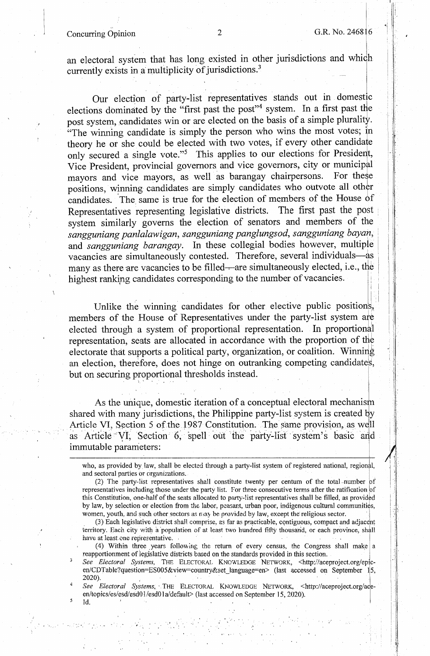# Concurring Opinion 2 G.R. No. 2468 6

4

Id.

..•

.,

I

I I I I !

 $\parallel$   $\parallel$  : ! .

.!  $\mathbb{I}$  ,  $\mathbb{I}$ I I .

an electoral system that has long existed in other jurisdictions and whioh currently exists in a multiplicity of jurisdictions.<sup>3</sup>

. The simulation of the simulation of the simulation of the simulation of the simulation of the simulation of the simulation of the simulation of the simulation of the simulation of the simulation of the simulation of the

Our election of party-list representatives stands out in domestic elections dominated by the "first past the post"<sup>4</sup> system. In a first past the post system, candidates win or are elected on the basis of a simple plurality.  $\cdot$ The winning candidate is simply the person who wins the most votes; in theory he or she could be elected with two votes, if every other candidate only secured a single vote."<sup>5</sup> This applies to our elections for President, Vice President, provincial governors and vice governors, city or municipal mayors and vice mayors, as well as barangay chairpersons. For these positions, winning candidates are simply candidates who outvote all other candidates. The same is true for the election of members of the House of Representatives representing legislative districts. The first past the post Representatives representing legislative districts. system similarly governs the election of senators and members of the sangguniang panlalawigan, sangguniang panglungsod, sangguniang bayan, and *sangguniang barangay.* In these collegial bodies however, multiple vacancies are simultaneously contested. Therefore, several individuals-as many as there are vacancies to be filled---are simultaneously elected, i.e., the highest ranking candidates corresponding to the number of vacancies.

Unlike the winning candidates for other elective public positions, members of the House of Representatives under the party-list system ate elected through a system of proportional representation. In proportional representation, seats are allocated in accordance with the proportion of the electorate that supports a political party, organization, or coalition. Winning an election, therefore, does not hinge on outranking competing candidates, but on securing proportional thresholds instead.

• . I .

As the unique, domestic iteration of a conceptual electoral mechanism shared with many jurisdictions, the Philippine party-list system is created by Article VI, Section 5 of the 1987 Constitution. The same provision, as well as Article VI, Section 6, spell out the party-list system's basic and immutable parameters: \

who, as provided by law, shall be elected through a party-list system of registered national, regional, and sectoral parties or organizations.

(3) Each legislative district shall comprise, as far as practicable, contiguous, compact and adjacent territory. Each city with a population of at least two hundred fifty thousand, or each province, shall have at least one representative.

(4) Within three years following the return of every census, the Congress shall make a reapportionment of legislative districts based on the standards provided in this section. ·

*See Electoral Systems,* THE ELECTORAL KNO'NLEDGE NETWORK, <http://aceproject.org/epl·cen/CDTable?question=ES005&view=country&set\_language=en> (last accessed on September 15, 2020). . · · · .

See Electoral Systems, THE ELECTORAL KNOWLEDGE NETWORK, <http://aceproject.org/aceen/topics/es/esd/esd01/esd01a/default> (last accessed on September 15, 2020).

<sup>(2)</sup> The party-list representatives shall constitute twenty per centum of the total munber of representatives including those under the party list. For three consecutive terms after the ratification of this Constitution, one-half of the seats allocated to party-list representatives shall be filled, as provided by law, by selection or election from the labor, peasant, urban poor, indigenous cultural communities, women, youth, and such other sectors as may be provided by law, except the religious sector.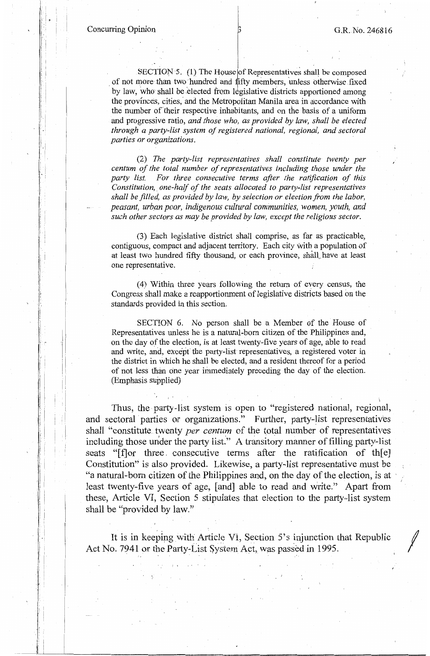Concurring Opinion  $\beta$  B G.R. No. 246816

I •

i : I': I I I I I, I i':

 $\mathbb{I}$  ,  $\mathbb{I}$ ! :

I I

I , i I \

SECTION 5. (1) The House of Representatives shall be composed of not more than two hundred and fifty members, unless otherwise fixed by law, who shall be elected from legislative districts apportioned among the provinces, cities, and the Metropolitan Manila area in accordance with the number of their respective inhabitants, and on the basis of a uniform and progressive ratio, *and those who, as provided by law, shall be elected through a party-list system of registered national, regional, and sectoral parties or organizations.* 

(2) *The party-list representatives shall constitute twenty per centum of the total number of representatives including those under the party list. For three consecutive terms after the ratification of this*  Constitution, one-half of the seats allocated to party-list representatives *shall be filled, as provided by law, by selection or election from the labor, peasant, urban poor, indigenous cultural communities, women, youth, and such other sectors as may be provided by law, except the religious sector.* 

(3) Each legislative district shall comprise, as far as practicable, contiguous, compact and adjacent territory. Each city with a population of at least two hundred fifty thousand, or each province, shall have at least one representative.

(4) Within three years following the return of every census, the Congress shall make a reapportionment of legislative districts based on the standards provided in this section.

SECTION 6. No person shall be a Member of the House of Representatives unless he is a natural-born citizen of the Philippines and, on the day of the election, is at least twenty-five years of age, able to read and write, and, except the party-list representatives, a registered voter in the district in which he shall be elected, and a resident thereof for a period of not less than one year immediately preceding the day of the election. (Emphasis supplied)

Thus, the party-list system is open to "registered national, regional, and sectoral parties or organizations." Further, party-list representatives shall "constitute twenty *per centum* of the total number of representatives including those under the party list." A transitory manner of filling party-list seats "[f]or three. consecutive terms after the ratification of th[e] Constitution" is also provided. Likewise, a party-list representative must be "a natural-born citizen of the Philippines and, on the day of the election, is at least twenty-five years of age, [and] able to read and write." Apart from these, Article VI, Section 5 stipulates that election to the party•-list system shall be "provided by law."

It is in keeping with Article VI, Section  $5$ 's injunction that Republic Act No. 7941 or the Party-List System Act, was passed in 1995.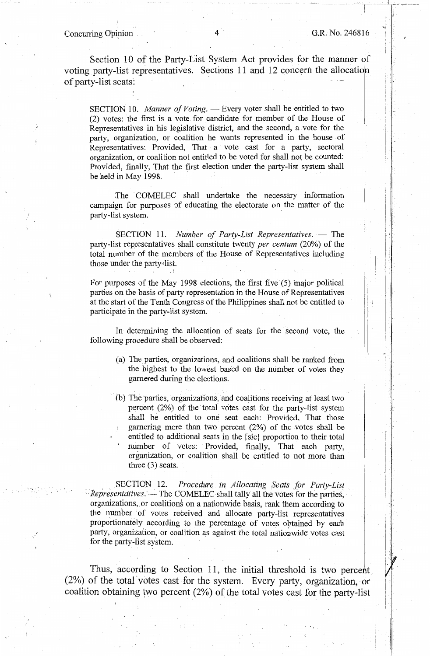Section 10 of the Party-List System Act provides for the manner of voting party-list representatives. Sections 11 and 12 concern the allocatio of party-list seats:

SECTION 10. *Manner of Voting.* - Every voter shall be entitled to two (2) votes: the first is a vote for candidate for member of the House of Representatives in his legislative district, and the second, a vote for the party, organization, or coalition he wants represented in the house of Representatives: Provided, That a vote cast for a party, sectoral organization, or coalition not entitled to be voted for shall not be counted: Provided, finally, That the first election under the party-list system shall be held in May 1998.

The COMELEC shall undertake the necessary information campaign for purposes of educating the electorate on the matter of the party-list system.

SECTION 11. *Number of Party-List Representatives.* - The party-list representatives shall constitute twenty *per centum* (20%) of the total number of the members of the House of Representatives including those under the party-list.

.. 1

For purposes of the May 1998 elections, the first five (5) major political parties on the basis of party representation in the House of Representatives at the start of the Tenth Congress of the Philippines shall not be entitled to participate in the party-list system.

In determining the allocation of seats for the second vote, the following procedure shall be observed:

- (a) The parties, organizations, and coalitions shall be ranked from the highest to the lowest based on the number of votes they garnered during the elections.
- (b) The parties, organizations, and coalitions receiving at least two percent (2%) of the total votes cast for the party-list system shall be entitled to one seat each: Provided, That those garnering more than two percent (2%) of the votes shall be entitled to additional seats in the [sic] proportion to their total number of votes: Provided, finally, That each party, organization, or coalition shall be entitled to not more than three  $(3)$  seats.

.. SECTION 12. *Procedure in Allocating Seats for Party-List Representatives.* — The COMELEC shall tally all the votes for the parties, organizations, or coalitions on a nationwide basis, rank them according to the number of votes received and allocate party-list representatives proportionately according to the percentage of votes obtained by each party, organization, or coalition as against the total nationwide votes cast for the party-fist system.

Thus, according to Section 11, the initial threshold is two percent (2%) of the total votes cast for the system. Every party, organization,  $\phi$ r coalition obtaining two percent  $(2\%)$  of the total votes cast for the party-list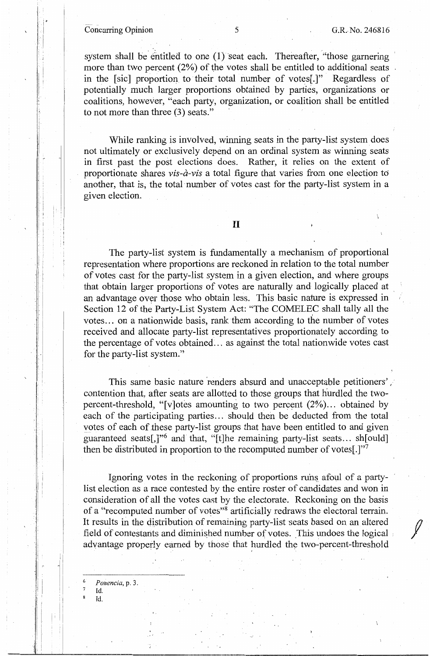## Concurring Opinion 5 G.R. No. 246816

*f* 

system shall be entitled to one  $(1)$  seat each. Thereafter, "those garnering more than two percent  $(2%)$  of the votes shall be entitled to additional seats in the [sic] proportion to their total number of votes[.}" Regardless of potentially much larger proportions obtained by parties, organizations or coalitions, however, "each party, organization, or coalition shall be entitled to not more than three (3) seats."

While ranking is involved, winning seats in the party-list system does not ultimately or exclusively depend on an ordinal system as winning seats in first past the post elections does. Rather, it relies on the extent of proportionate shares *vis-a-vis* a total figure that varies from one election to another, that is, the total number of votes cast for the party-list system in a given election.

## II

The party-list system is fundamentally a mechanism of proportional representation where proportions are reckoned in relation to the total number of votes cast for the party-list system in a given election, and where groups that obtain larger proportions of votes are naturally and logically placed at an advantage over those who obtain less. This basic nature is expressed in 1 Section 12 of the Party-List System Act: "The COMELEC shall tally all the votes... on a nationwide basis, rank them according to the number of votes received and allocate party-list representatives proportionately according to the percentage of votes obtained ... as against the total nationwide votes cast for the party-list system."

This same basic nature renders absurd and unacceptable petitioners', contention that, after seats are allotted to those groups that hurdled the twopercent-threshold, "[v]otes amounting to two percent  $(2\%)...$  obtained by each of the participating parties... should then be deducted from the total yotes of each of these party-list groups that have been entitled to and given guaranteed seats[,]"6 and that, "[t]he remaining party-list seats ... sh[ould] then be distributed in proportion to the recomputed number of votes[.]"<sup>7</sup>

Ignoring votes in the reckoning of proportions runs afoul of a partylist election as a race contested by the entire roster of candidates and won in consideration of all the votes cast by the electorate. Reckoning on the basis of a "recomputed number of votes"<sup>8</sup> artificially redraws the electoral terrain. It results in the distribution of remaining party-list seats based on an altered field of contestants and diminished number of votes. This undoes the logical advantage properly earned by those that hurdled the two-percent-threshold

6 *Ponencia,* p. 3.

<sup>7</sup>Id. Id.

! !

·i

I,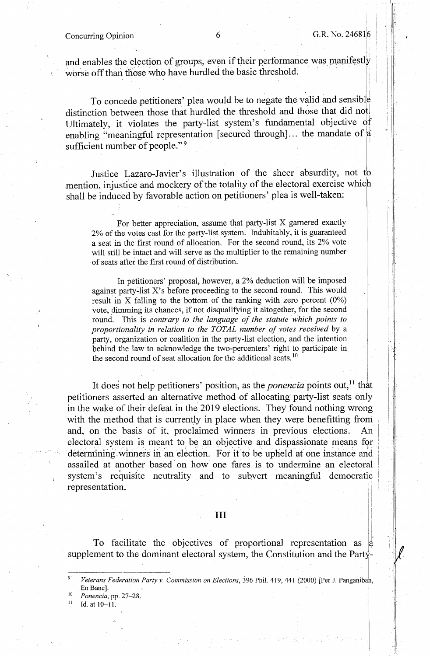#### Concurring Opinion

I I ·'

 $\cdot$  i

I i I

> [i i[

and enables the election of groups, even if their performance was manifestly worse off than those who have hurdled the basic threshold.

To concede petitioners' plea would be to negate the valid and sensible distinction between those that hurdled the threshold and those that did not. Ultimately, it violates the party-list system's fundamental objective  $\partial f$ enabling "meaningful representation [secured through]... the mandate of  $|a|$ sufficient number of people."<sup>9</sup>

Justice Lazaro-Javier's illustration of the sheer absurdity, not to mention, injustice and mockery of the totality of the electoral exercise which shall be induced by favorable action on petitioners' plea is well-taken:

For better appreciation, assume that party-list X garnered exactly 2% of the votes cast for the party-list system. Indubitably, it is guaranteed a seat in the first round of allocation. For the second round, its 2% vote will still be intact and will serve as the multiplier to the remaining number of seats after the first round of distribution.

In petitioners' proposal, however, a 2% deduction will be imposed against party~list X's before proceeding to the second round. This would result in X falling to the bottom of the ranking with zero percent  $(0\%)$ vote, dimming its chances, if not disqualifying it altogether, for the second round. This is *contrary to the language of the statute which points to proportionality in relation to the TOTAL number of votes received* by a party, organization or coalition in the party-list election, and the intention behind the law to acknowledge the two-percenters' right to participate in the second round of seat allocation for the additional seats.<sup>10</sup>

It does not help petitioners' position, as the *ponencia* points out, 11 that petitioners asserted an alternative method of allocating party-list seats only in the wake of their defeat in the 2019 elections. They found nothing wrong with the method that is currently in place when they were benefitting from and, on the basis of it, proclaimed winners in previous elections. An electoral system is meant to be an objective and dispassionate means for determining winners in an election. For it to be upheld at one instance and assailed at another based on how one fares is to undermine an electoral system's requisite neutrality and to subvert meaningful democratic representation.

## III

To facilitate the objectives of proportional representation as supplement to the dominant electoral system, the Constitution and the Party-

Veterans Federation Party v. Commission on Elections, 396 Phil. 419, 441 (2000) [Per J. Panganiban, En Banc].

- $10$ <sup>0</sup>*Ponencia,* pp. 27-28. 11 Id. at 10-11.
-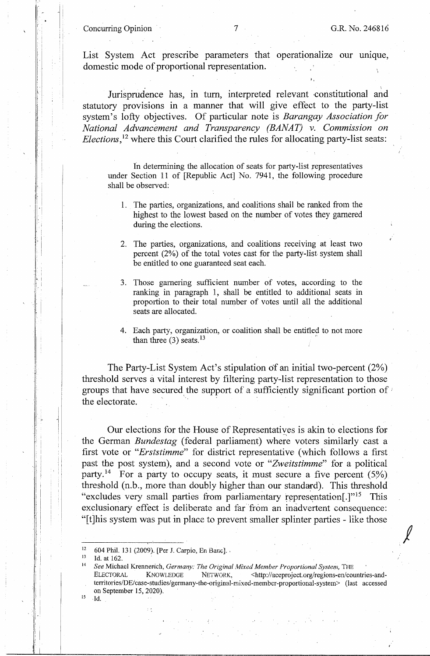. I

*!* 

List System Act prescribe parameters that operationalize our umque, domestic mode of proportional representation.

Jurisprudence has, in turn, interpreted relevant constitutional and statutory provisions in a manner that will give effect to the party-list system's lofty objectives. Of particular note is *Barangay Association for National Advancement and Transparency (BANAT)* v. *Commission on Elections*,<sup>12</sup> where this Court clarified the rules for allocating party-list seats:

In determining the allocation of seats for party-list representatives under Section 11 of [Republic Act] No. 7941, the following procedure shall be observed:

- 1. The parties, organizations, and coalitions shall be ranked from the highest to the lowest based on the number of votes they garnered during the elections.
- 2. The parties, organizations, and coalitions receiving at least two percent (2%) of the total votes cast for the party-list system shall be entitled to one guaranteed seat each.
- 3. Those garnering sufficient number of votes, according to the ranking in paragraph l, shall be entitled to additional seats in proportion to their total number of votes until all the additional seats are allocated.
- 4. Each party, organization, or coalition shall be entitled to not more than three  $(3)$  seats.<sup>13</sup>

The Party-List System Act's stipulation of an initial two-percent (2%) threshold serves a vital interest by filtering party-list representation to those groups that have secured\_ the support of a sufficiently significant portion of *:*  the electorate.

Our elections for the House of Representatives is akin to elections for the German *Bundestag* (federal parliament) where voters similarly cast a first vote or *"Erststimme"* for district representative ( which follows a first past the post system), and a second vote or *"Zweitstimme"* for a political party.<sup>14</sup> For a party to occupy seats, it must secure a five percent  $(5\%)$ threshold (n.b., more than doubly higher than our standard). This threshold "excludes very small parties from parliamentary representation.<sup>[1715</sup> This exclusionary effect is deliberate and far from an inadvertent consequence: "[t]his system was put in place to prevent smaller splinter parties - like those

15 Id.

; . ' I I I I I

<sup>12 604</sup> Phil. 131 (2009). [Per J. Carpio, En Banc].<br>
13 Id. at 162.<br>
<sup>14</sup> *See Michael Krennerich, <i>Germany: The Original Mixed Member Proportional System*, THE ELECTORAL KNOWLEDGE NETWORK, <http://aceproject.org/regions-en/countries-andterritories/DE/case-studies/germany-the-original-mixed-member-proportional-system> (last accessed on September 15, 2020).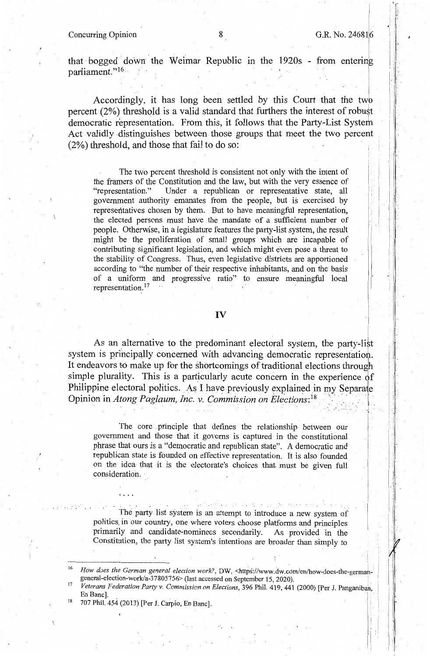#### Concurring Opinion 8

 $\mathbb{I}$ i  $\perp$ 

> i I

that bogged down the Weimar Republic in the 1920s - from entering parliament."<sup>16</sup>

Accordingly, it has long been settled by this Court that the twp percent (2%) threshold is a valid standard that furthers the interest of robust democratic representation. From this, it follows that the Party-List System Act validly distinguishes between those groups that meet the two percent (2%) threshold, and those that fail to do so:

The two percent threshold is consistent not only with the intent of the framers of the Constitution and the law, but with the very essence of "representation." Under a republican or representative state, all government authority emanates from the people, but is exercised by representatives chosen by them. But to have meaningful representation, the elected persons must have the mandate of a sufficient number of people. Otherwise, in a legislature features the party-list system, the result might be the proliferation of small groups which are incapable of contributing significant legislation, and which might even pose a threat to the stability of Congress. Thus, even legislative districts are apportioned according to "the number of their respective inhabitants, and on the basis of a uniform and progressive ratio" to ensure meaningful local representation.<sup>17</sup>

## IV

As an alternative to the predominant electoral system, the party-list system is principally concerned with advancing democratic representation. It endeavors to make up for the shortcomings of traditional elections through simple plurality. This is a particularly acute concern in the experience of Philippine electoral politics. As I have previously explained in my Separate Opinion in *Atong Paglaum, Inc. v. Commission on Elections*:<sup>18</sup> - . - - <sup>I</sup>---

The core principle that defines the relationship between our government and those that it governs is captured in the constitutional phrase that ours is a "democratic and republican state". A democratic and republican state is founded on effective representation. It is also founded on the idea that it is the electorate's choices that must be given full consideration.

 $\mathcal{F}^{\mathcal{E}}(\mathcal{E}^{\mathcal{E}}_{\mathcal{E}})$  , and the set of  $\mathcal{E}^{\mathcal{E}}_{\mathcal{E}}$ The party list system is an attempt to introduce a new system of politics, in our country, one where voters choose platforms and principles primarily and candidate-nominees secondarily. As provided in the Constitution, the party list system's intentions are broader than simply to

18 707 Phil. 454 (2013) [Per J. Carpio, En Banc].

<sup>&</sup>lt;sup>16</sup> How does the German general election work?, DW, <https://www.dw.com/en/how-does-the-germahgeneral-election-work/a-37805756> (last accessed on September 15, 2020).

Veterans Federation Party v. Commission on Elections, 396 Phil. 419, 441 (2000) [Per J. Panganiban, En Banc].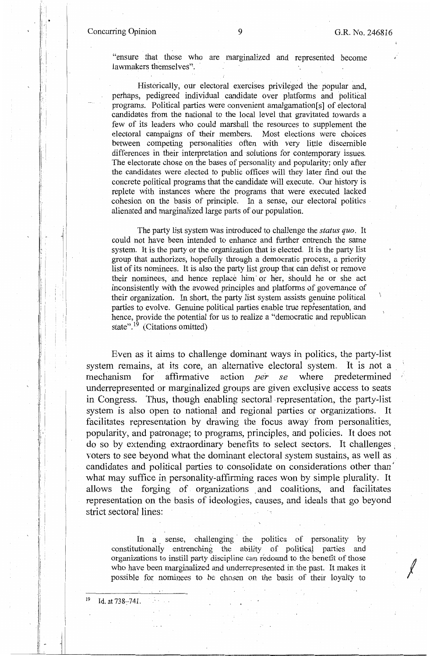I ' I· I

1!

 $\cdot$  :

 $\mathbf{I}$  $\mathsf{I}$  .  $\mathsf{I}$ 

I

 $\parallel$  : I I

I !

*I* 

"ensure that those who are marginalized and represented become lawmakers themselves''.

Historically, our electoral exercises privileged the popular and, perhaps, pedigreed individual candidate over platforms and political programs. Political parties were convenient amalgamation[s] of electoral candidates from the national to the local level that gravitated towards a few of its leaders who could marshall the resources to supplement the electoral campaigns of their members. Most elections were choices between competing personalities often with very little discernible differences in their interpretation and solutions for contemporary issues. The electorate chose on the bases of personality and popularity; only after the candidates were elected to public offices will they later find out the concrete political programs that the candidate will execute. Our history is replete with instances where the programs that were executed lacked cohesion on the basis of principle. In a sense, our electoral politics alienated and marginalized large parts of our population.

The party list system was introduced to challenge the *status quo.* It could not have been intended to enhance and further entrench the same system. It is the party or the organization that is elected. It is the party list group that authorizes, hopefully through a democratic process, a priority list of its nominees. It is also the party list group that can delist or remove their nominees, and hence replace him· or her, should he or she act inconsistently with the avowed principles and platforms of governance of their organization. In short, the party list system assists genuine political parties to evolve. Genuine political parties enable true representation, and hence, provide the potential for us to realize a "democratic and republican state". $\frac{19}{19}$  (Citations omitted)

Even as it aims to challenge dominant ways in politics, the party-list system remains, at its core, an alternative electoral system. It is not a mechanism for affirmative action *per se* where predetermined underrepresented or marginalized groups are given exclusive access to seats in Congress. Thus, though enabling sectoral representation, the party-list system is also open to national and regional parties or organizations. It facilitates representation by drawing the focus away from personalities, popularity, and patronage; to programs, principles, and policies. It does not do so by extending extraordinary benefits to select sectors. It challenges , voters to see beyond what the dominant electoral system sustains, as well as candidates and political parties to consolidate on considerations other than' what may suffice in personality-affirming races won by simple plurality. It allows the forging of organizations and coalitions, and facilitates representation on the basis of ideologies, causes, and ideals that go beyond strict sectoral lines:

In a sense, challenging the politics of personality by constitutionally entrenching the ability of political parties and organizations to instill party discipline can redound to the benefit of those who have been marginalized and underrepresented in the past. It makes it possible for nominees to be chosen on the basis of their loyalty to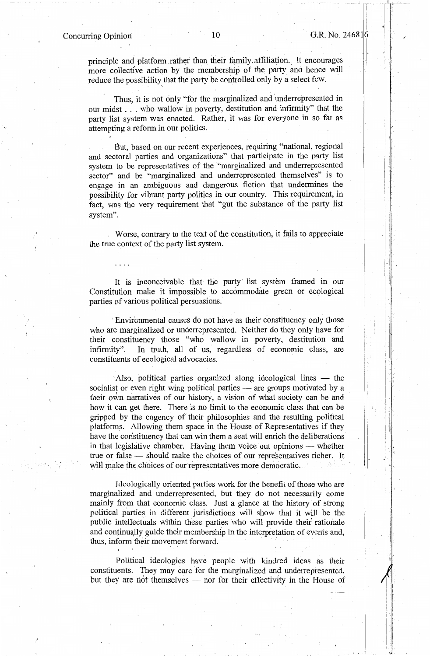.1

I I

! i  $\mathbf{r}$ I I ,·

principle and platform rather than their family affiliation. It encourages more collective action by the membership of the party and hence will reduce the possibility that the party be controlled only by a select few.

Thus, it is not only "for the marginalized and underrepresented in our midst ... who wallow in poverty, destitution and infirmity" that the party list system was enacted. Rather, it was for everyone in so far as attempting a reform in our politics.

But, based on our recent experiences, requiring "national, regional and sectoral parties and organizations" that participate in the party list system to be representatives of the "marginalized and underrepresented sector" and be "marginalized and underrepresented themselves" is to engage in an ambiguous and dangerous fiction that undermines . the possibility for vibrant party politics in our country. This requirement, in fact, was the very requirement that "gut the substance of the party list system".

Worse, contrary to the text of the constitution, it fails to appreciate the true context of the party list system.

It is inconceivable that the party list system framed in our Constitution make it impossible to accommodate green or ecological parties of various political persuasions.

· Environmental causes do not have as their constituency only those who are marginalized or underrepresented. Neither do they only have for their constituency those "who wallow in poverty, destitution and infirmity". In truth, all of us, regardless of economic class, are constituents of ecological advocacies.

Also, political parties organized along ideological lines - the socialist or even right wing political parties — are groups motivated by a their own narratives of our history, a vision of what society can be and how it can get there. There is no limit to the economic class that can be gripped by the cogency of their philosophies and the resulting political platforms. Allowing them space in the House of Representatives if they have the constituency that can win them a seat will enrich the deliberations in that legislative chamber. Having them voice out opinions - whether true or false — should make the choices of our representatives richer. It will make the choices of our representatives more democratic.

Ideologically oriented parties work for the benefit of those who are marginalized and underrepresented, but they do not necessarily come mainly from that economic class. Just a glance at the history of strong political parties in different. jurisdictions will show that it will be the public intellectuals within these parties who will provide their rationale and continually guide their membership in the interpretation of events and, thus, inform their movement forward.

Political ideologies have people with kindred ideas as their constituents. They may care for the marginalized and underrepresented, but they are not themselves — nor for their effectivity in the House of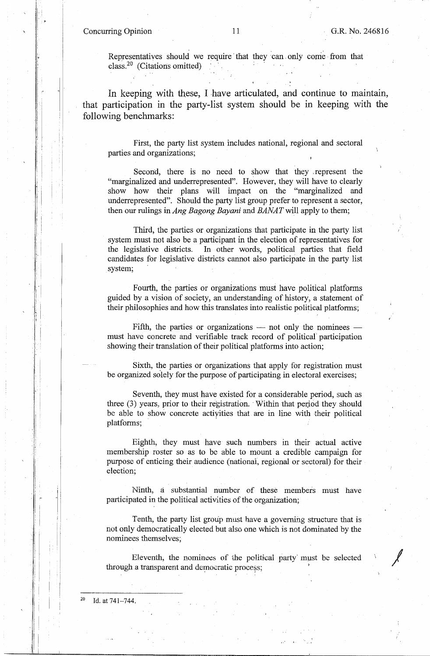Concurring Opinion 11 G.R. No. 246816

 $|\cdot|$  $\mathcal{L}$ 

,·1 ' I I .

 $\prod_{i=1}^n$ I l

> $\mathbf{I}$ r I ! [

 $\mathbb{F}$  1.

*I* 

Representatives should we require that they can only come from that  $class.<sup>20</sup>$  (Citations omitted)

In keeping with these, I have articulated, and continue to maintain, that participation in the party-list system should be in keeping with the following benchmarks:

First, the party list system includes national, regional and sectoral parties and organizations;

Second, there is no need to show that they represent the "marginalized and underrepresented". However, they will have to clearly show how their plans will impact on the "marginalized and underrepresented". Should the party list group prefer to represent a sector, then our rulings in *Ang Bagong Bayani* and *BAlvAT* will apply to them;

Third, the parties or organizations that participate in the party list system must not also be a participant in the election of representatives for the legislative districts. In other words, political parties that field candidates for legislative districts cannot also participate in the party list system;

Fourth, the parties or organizations must have political platforms guided by a vision of society, an understanding of history, a statement of their philosophies and how this translates into realistic political platforms;

Fifth, the parties or organizations  $-$  not only the nominees  $$ must have concrete and verifiable track record of political' participation showing their translation of their political platforms into action;

Sixth, the parties or organizations that apply for registration must be organized solely for the purpose of participating in electoral exercises;

Seventh, they must have existed for a considerable period, such as three  $(3)$  years, prior to their registration. Within that period they should be able to show concrete actiyities that are in line with their political platforms;

Eighth, they must have such numbers in their actual active membership roster so as to be able to mount a credible campaign for purpose of enticing their audience (national, regional or sectoral) for their election;

Ninth, a substantial number of these members must have participated in the political activities of the organization;

Tenth, the party list group must have a governing structure that is not only democratically elected but also one which is not dominated by the nominees themselves;

Eleventh, the nominees of the political party' must be selected through a transparent and democratic process;

20 Id. at 741-744.